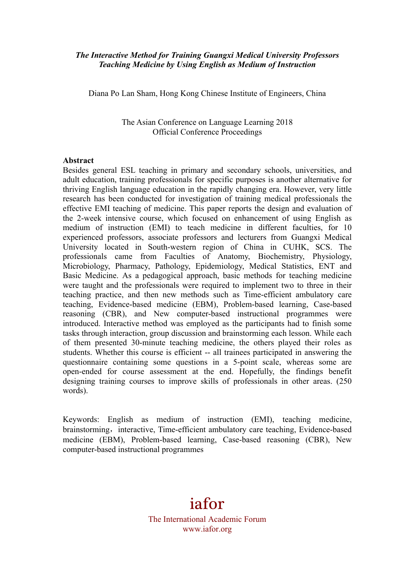#### *The Interactive Method for Training Guangxi Medical University Professors Teaching Medicine by Using English as Medium of Instruction*

Diana Po Lan Sham, Hong Kong Chinese Institute of Engineers, China

The Asian Conference on Language Learning 2018 Official Conference Proceedings

#### **Abstract**

Besides general ESL teaching in primary and secondary schools, universities, and adult education, training professionals for specific purposes is another alternative for thriving English language education in the rapidly changing era. However, very little research has been conducted for investigation of training medical professionals the effective EMI teaching of medicine. This paper reports the design and evaluation of the 2-week intensive course, which focused on enhancement of using English as medium of instruction (EMI) to teach medicine in different faculties, for 10 experienced professors, associate professors and lecturers from Guangxi Medical University located in South-western region of China in CUHK, SCS. The professionals came from Faculties of Anatomy, Biochemistry, Physiology, Microbiology, Pharmacy, Pathology, Epidemiology, Medical Statistics, ENT and Basic Medicine. As a pedagogical approach, basic methods for teaching medicine were taught and the professionals were required to implement two to three in their teaching practice, and then new methods such as Time-efficient ambulatory care teaching, Evidence-based medicine (EBM), Problem-based learning, Case-based reasoning (CBR), and New computer-based instructional programmes were introduced. Interactive method was employed as the participants had to finish some tasks through interaction, group discussion and brainstorming each lesson. While each of them presented 30-minute teaching medicine, the others played their roles as students. Whether this course is efficient -- all trainees participated in answering the questionnaire containing some questions in a 5-point scale, whereas some are open-ended for course assessment at the end. Hopefully, the findings benefit designing training courses to improve skills of professionals in other areas. (250 words).

Keywords: English as medium of instruction (EMI), teaching medicine, brainstorming, interactive, Time-efficient ambulatory care teaching, Evidence-based medicine (EBM), Problem-based learning, Case-based reasoning (CBR), New computer-based instructional programmes

# iafor

The International Academic Forum www.iafor.org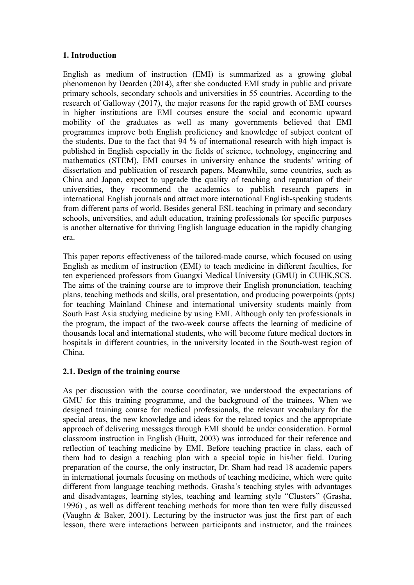## **1. Introduction**

English as medium of instruction (EMI) is summarized as a growing global phenomenon by Dearden (2014), after she conducted EMI study in public and private primary schools, secondary schools and universities in 55 countries. According to the research of Galloway (2017), the major reasons for the rapid growth of EMI courses in higher institutions are EMI courses ensure the social and economic upward mobility of the graduates as well as many governments believed that EMI programmes improve both English proficiency and knowledge of subject content of the students. Due to the fact that 94 % of international research with high impact is published in English especially in the fields of science, technology, engineering and mathematics (STEM), EMI courses in university enhance the students' writing of dissertation and publication of research papers. Meanwhile, some countries, such as China and Japan, expect to upgrade the quality of teaching and reputation of their universities, they recommend the academics to publish research papers in international English journals and attract more international English-speaking students from different parts of world. Besides general ESL teaching in primary and secondary schools, universities, and adult education, training professionals for specific purposes is another alternative for thriving English language education in the rapidly changing era.

This paper reports effectiveness of the tailored-made course, which focused on using English as medium of instruction (EMI) to teach medicine in different faculties, for ten experienced professors from Guangxi Medical University (GMU) in CUHK,SCS. The aims of the training course are to improve their English pronunciation, teaching plans, teaching methods and skills, oral presentation, and producing powerpoints (ppts) for teaching Mainland Chinese and international university students mainly from South East Asia studying medicine by using EMI. Although only ten professionals in the program, the impact of the two-week course affects the learning of medicine of thousands local and international students, who will become future medical doctors in hospitals in different countries, in the university located in the South-west region of China.

## **2.1. Design of the training course**

As per discussion with the course coordinator, we understood the expectations of GMU for this training programme, and the background of the trainees. When we designed training course for medical professionals, the relevant vocabulary for the special areas, the new knowledge and ideas for the related topics and the appropriate approach of delivering messages through EMI should be under consideration. Formal classroom instruction in English (Huitt, 2003) was introduced for their reference and reflection of teaching medicine by EMI. Before teaching practice in class, each of them had to design a teaching plan with a special topic in his/her field. During preparation of the course, the only instructor, Dr. Sham had read 18 academic papers in international journals focusing on methods of teaching medicine, which were quite different from language teaching methods. Grasha's teaching styles with advantages and disadvantages, learning styles, teaching and learning style "Clusters" (Grasha, 1996) , as well as different teaching methods for more than ten were fully discussed (Vaughn & Baker, 2001). Lecturing by the instructor was just the first part of each lesson, there were interactions between participants and instructor, and the trainees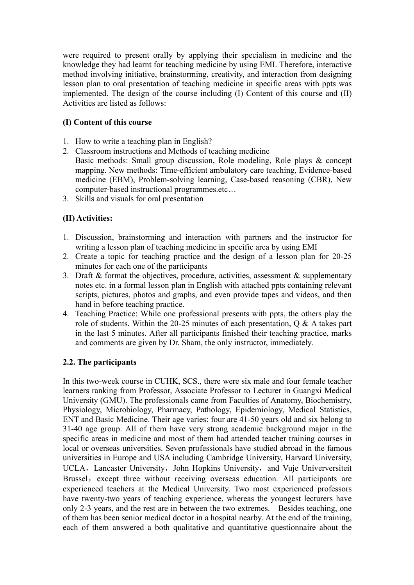were required to present orally by applying their specialism in medicine and the knowledge they had learnt for teaching medicine by using EMI. Therefore, interactive method involving initiative, brainstorming, creativity, and interaction from designing lesson plan to oral presentation of teaching medicine in specific areas with ppts was implemented. The design of the course including (I) Content of this course and (II) Activities are listed as follows:

# **(I) Content of this course**

- 1. How to write a teaching plan in English?
- 2. Classroom instructions and Methods of teaching medicine Basic methods: Small group discussion, Role modeling, Role plays & concept mapping. New methods: Time-efficient ambulatory care teaching, Evidence-based medicine (EBM), Problem-solving learning, Case-based reasoning (CBR), New computer-based instructional programmes.etc…
- 3. Skills and visuals for oral presentation

# **(II) Activities:**

- 1. Discussion, brainstorming and interaction with partners and the instructor for writing a lesson plan of teaching medicine in specific area by using EMI
- 2. Create a topic for teaching practice and the design of a lesson plan for 20-25 minutes for each one of the participants
- 3. Draft  $\&$  format the objectives, procedure, activities, assessment  $\&$  supplementary notes etc. in a formal lesson plan in English with attached ppts containing relevant scripts, pictures, photos and graphs, and even provide tapes and videos, and then hand in before teaching practice.
- 4. Teaching Practice: While one professional presents with ppts, the others play the role of students. Within the 20-25 minutes of each presentation,  $\overrightarrow{O}$  & A takes part in the last 5 minutes. After all participants finished their teaching practice, marks and comments are given by Dr. Sham, the only instructor, immediately.

## **2.2. The participants**

In this two-week course in CUHK, SCS., there were six male and four female teacher learners ranking from Professor, Associate Professor to Lecturer in Guangxi Medical University (GMU). The professionals came from Faculties of Anatomy, Biochemistry, Physiology, Microbiology, Pharmacy, Pathology, Epidemiology, Medical Statistics, ENT and Basic Medicine. Their age varies: four are 41-50 years old and six belong to 31-40 age group. All of them have very strong academic background major in the specific areas in medicine and most of them had attended teacher training courses in local or overseas universities. Seven professionals have studied abroad in the famous universities in Europe and USA including Cambridge University, Harvard University, UCLA, Lancaster University, John Hopkins University, and Vuje Univerversiteit Brussel, except three without receiving overseas education. All participants are experienced teachers at the Medical University. Two most experienced professors have twenty-two years of teaching experience, whereas the youngest lecturers have only 2-3 years, and the rest are in between the two extremes. Besides teaching, one of them has been senior medical doctor in a hospital nearby. At the end of the training, each of them answered a both qualitative and quantitative questionnaire about the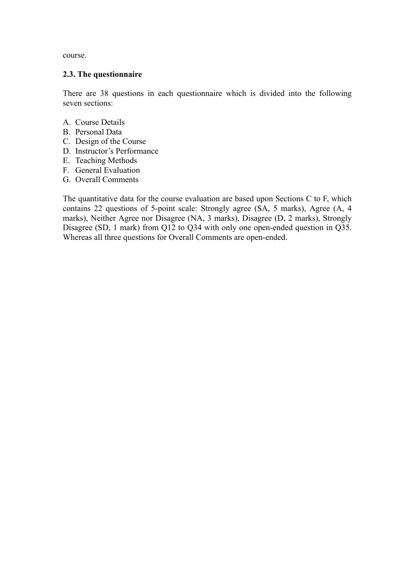course.

#### **2.3. The questionnaire**

There are 38 questions in each questionnaire which is divided into the following seven sections:

- A. Course Details
- B. Personal Data
- C. Design of the Course
- D. Instructor's Performance
- E. Teaching Methods
- F. General Evaluation
- G. Overall Comments

The quantitative data for the course evaluation are based upon Sections C to F, which contains 22 questions of 5-point scale: Strongly agree (SA, 5 marks), Agree (A, 4 marks), Neither Agree nor Disagree (NA, 3 marks), Disagree (D, 2 marks), Strongly Disagree (SD, 1 mark) from Q12 to Q34 with only one open-ended question in Q35. Whereas all three questions for Overall Comments are open-ended.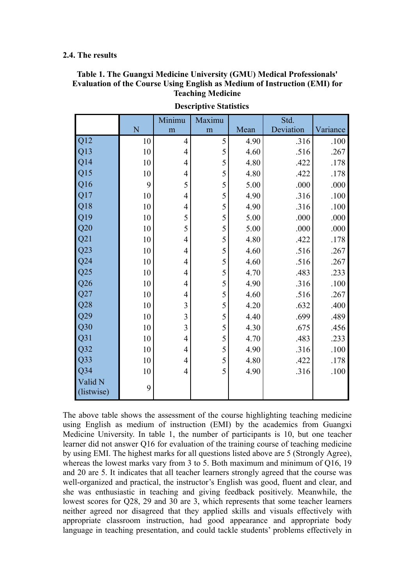#### **2.4. The results**

## **Table 1. The Guangxi Medicine University (GMU) Medical Professionals' Evaluation of the Course Using English as Medium of Instruction (EMI) for Teaching Medicine**

|                 |    | Minimu                   | Maximu |      | Std.      |          |
|-----------------|----|--------------------------|--------|------|-----------|----------|
|                 | N  | m                        | m      | Mean | Deviation | Variance |
| Q12             | 10 | $\overline{4}$           | 5      | 4.90 | .316      | .100     |
| Q13             | 10 | $\overline{4}$           | 5      | 4.60 | .516      | .267     |
| Q14             | 10 | 4                        | 5      | 4.80 | .422      | .178     |
| Q15             | 10 | 4                        | 5      | 4.80 | .422      | .178     |
| Q16             | 9  | 5                        | 5      | 5.00 | .000      | .000     |
| Q17             | 10 | 4                        | 5      | 4.90 | .316      | .100     |
| Q18             | 10 | $\overline{4}$           | 5      | 4.90 | .316      | .100     |
| Q19             | 10 | 5                        | 5      | 5.00 | .000      | .000     |
| Q20             | 10 | 5                        | 5      | 5.00 | .000      | .000     |
| Q21             | 10 | $\overline{4}$           | 5      | 4.80 | .422      | .178     |
| Q23             | 10 | $\overline{\mathcal{A}}$ | 5      | 4.60 | .516      | .267     |
| Q24             | 10 | $\overline{4}$           | 5      | 4.60 | .516      | .267     |
| Q25             | 10 | 4                        | 5      | 4.70 | .483      | .233     |
| Q26             | 10 | 4                        | 5      | 4.90 | .316      | .100     |
| Q27             | 10 | $\overline{4}$           | 5      | 4.60 | .516      | .267     |
| Q28             | 10 | 3                        | 5      | 4.20 | .632      | .400     |
| Q29             | 10 | 3                        | 5      | 4.40 | .699      | .489     |
| Q30             | 10 | $\overline{\mathbf{3}}$  | 5      | 4.30 | .675      | .456     |
| Q <sub>31</sub> | 10 | $\overline{4}$           | 5      | 4.70 | .483      | .233     |
| Q32             | 10 | $\overline{4}$           | 5      | 4.90 | .316      | .100     |
| Q33             | 10 | $\overline{4}$           | 5      | 4.80 | .422      | .178     |
| $Q$ 34          | 10 | $\overline{4}$           | 5      | 4.90 | .316      | .100     |
| Valid N         | 9  |                          |        |      |           |          |
| (listwise)      |    |                          |        |      |           |          |

**Descriptive Statistics**

The above table shows the assessment of the course highlighting teaching medicine using English as medium of instruction (EMI) by the academics from Guangxi Medicine University. In table 1, the number of participants is 10, but one teacher learner did not answer Q16 for evaluation of the training course of teaching medicine by using EMI. The highest marks for all questions listed above are 5 (Strongly Agree), whereas the lowest marks vary from 3 to 5. Both maximum and minimum of Q16, 19 and 20 are 5. It indicates that all teacher learners strongly agreed that the course was well-organized and practical, the instructor's English was good, fluent and clear, and she was enthusiastic in teaching and giving feedback positively. Meanwhile, the lowest scores for Q28, 29 and 30 are 3, which represents that some teacher learners neither agreed nor disagreed that they applied skills and visuals effectively with appropriate classroom instruction, had good appearance and appropriate body language in teaching presentation, and could tackle students' problems effectively in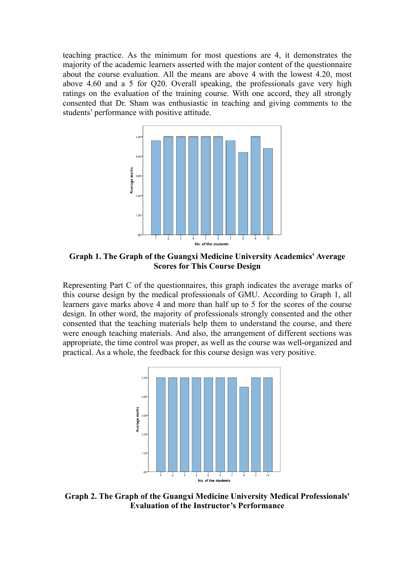teaching practice. As the minimum for most questions are 4, it demonstrates the majority of the academic learners asserted with the major content of the questionnaire about the course evaluation. All the means are above 4 with the lowest 4.20, most above 4.60 and a 5 for Q20. Overall speaking, the professionals gave very high ratings on the evaluation of the training course. With one accord, they all strongly consented that Dr. Sham was enthusiastic in teaching and giving comments to the students' performance with positive attitude.



**Graph 1. The Graph of the Guangxi Medicine University Academics' Average Scores for This Course Design**

Representing Part C of the questionnaires, this graph indicates the average marks of this course design by the medical professionals of GMU. According to Graph 1, all learners gave marks above 4 and more than half up to 5 for the scores of the course design. In other word, the majority of professionals strongly consented and the other consented that the teaching materials help them to understand the course, and there were enough teaching materials. And also, the arrangement of different sections was appropriate, the time control was proper, as well as the course was well-organized and practical. As a whole, the feedback for this course design was very positive.



**Graph 2. The Graph of the Guangxi Medicine University Medical Professionals' Evaluation of the Instructor's Performance**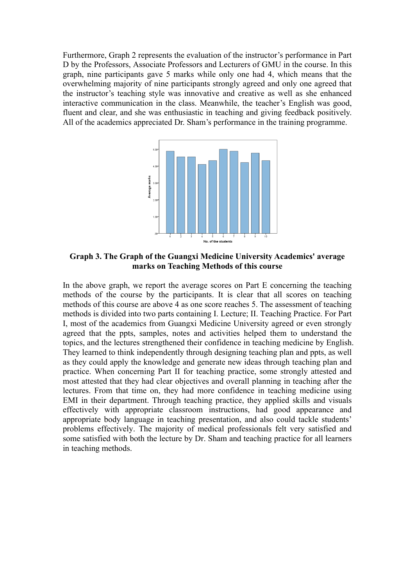Furthermore, Graph 2 represents the evaluation of the instructor's performance in Part D by the Professors, Associate Professors and Lecturers of GMU in the course. In this graph, nine participants gave 5 marks while only one had 4, which means that the overwhelming majority of nine participants strongly agreed and only one agreed that the instructor's teaching style was innovative and creative as well as she enhanced interactive communication in the class. Meanwhile, the teacher's English was good, fluent and clear, and she was enthusiastic in teaching and giving feedback positively. All of the academics appreciated Dr. Sham's performance in the training programme.



**Graph 3. The Graph of the Guangxi Medicine University Academics' average marks on Teaching Methods of this course**

In the above graph, we report the average scores on Part E concerning the teaching methods of the course by the participants. It is clear that all scores on teaching methods of this course are above 4 as one score reaches 5. The assessment of teaching methods is divided into two parts containing I. Lecture; II. Teaching Practice. For Part I, most of the academics from Guangxi Medicine University agreed or even strongly agreed that the ppts, samples, notes and activities helped them to understand the topics, and the lectures strengthened their confidence in teaching medicine by English. They learned to think independently through designing teaching plan and ppts, as well as they could apply the knowledge and generate new ideas through teaching plan and practice. When concerning Part II for teaching practice, some strongly attested and most attested that they had clear objectives and overall planning in teaching after the lectures. From that time on, they had more confidence in teaching medicine using EMI in their department. Through teaching practice, they applied skills and visuals effectively with appropriate classroom instructions, had good appearance and appropriate body language in teaching presentation, and also could tackle students' problems effectively. The majority of medical professionals felt very satisfied and some satisfied with both the lecture by Dr. Sham and teaching practice for all learners in teaching methods.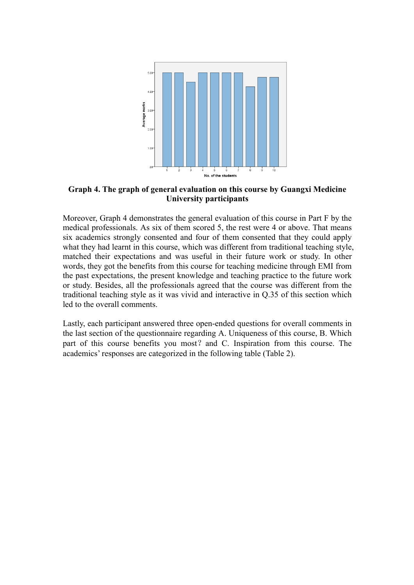

**Graph 4. The graph of general evaluation on this course by Guangxi Medicine University participants**

Moreover, Graph 4 demonstrates the general evaluation of this course in Part F by the medical professionals. As six of them scored 5, the rest were 4 or above. That means six academics strongly consented and four of them consented that they could apply what they had learnt in this course, which was different from traditional teaching style, matched their expectations and was useful in their future work or study. In other words, they got the benefits from this course for teaching medicine through EMI from the past expectations, the present knowledge and teaching practice to the future work or study. Besides, all the professionals agreed that the course was different from the traditional teaching style as it was vivid and interactive in Q.35 of this section which led to the overall comments.

Lastly, each participant answered three open-ended questions for overall comments in the last section of the questionnaire regarding A. Uniqueness of this course, B. Which part of this course benefits you most? and C. Inspiration from this course. The academics' responses are categorized in the following table (Table 2).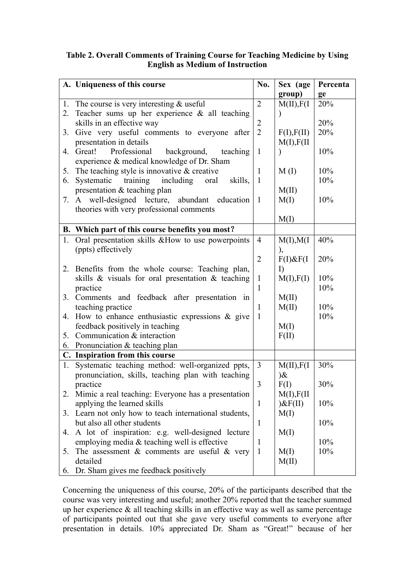## **Table 2. Overall Comments of Training Course for Teaching Medicine by Using English as Medium of Instruction**

|    | A. Uniqueness of this course                            | No.            | Sex (age        | Percenta |
|----|---------------------------------------------------------|----------------|-----------------|----------|
|    |                                                         |                | group)          | ge       |
|    | 1. The course is very interesting $&$ useful            | $\overline{2}$ | M(II), F(I)     | 20%      |
| 2. | Teacher sums up her experience $\&$ all teaching        |                |                 |          |
|    | skills in an effective way                              | $\overline{2}$ |                 | 20%      |
| 3. | Give very useful comments to everyone after             | $\overline{2}$ | F(I), F(II)     | 20%      |
|    | presentation in details                                 |                | M(I), F(II)     |          |
| 4. | Great!<br>Professional<br>background, teaching          | $\mathbf{1}$   |                 | 10%      |
|    | experience & medical knowledge of Dr. Sham              |                |                 |          |
| 5. | The teaching style is innovative $\&$ creative          | $\mathbf{1}$   | M(I)            | 10%      |
| 6. | Systematic training including oral<br>skills,           | $\mathbf{1}$   |                 | 10%      |
|    | presentation & teaching plan                            |                | M(II)           |          |
|    | 7. A well-designed lecture, abundant education          | $\mathbf{1}$   | M(I)            | 10%      |
|    | theories with very professional comments                |                |                 |          |
|    |                                                         |                | M(I)            |          |
|    | B. Which part of this course benefits you most?         |                |                 |          |
| 1. | Oral presentation skills & How to use powerpoints       | $\overline{4}$ | M(I), M(I)      | 40%      |
|    | (ppts) effectively                                      |                | ),              |          |
|    |                                                         | $\overline{2}$ | $F(I)$ & $F(I)$ | 20%      |
| 2. | Benefits from the whole course: Teaching plan,          |                | $\Gamma$        |          |
|    | skills $\&$ visuals for oral presentation $\&$ teaching | $\mathbf{1}$   | M(I), F(I)      | 10%      |
|    | practice                                                | $\mathbf{1}$   |                 | 10%      |
| 3. | Comments and feedback after presentation in             |                | M(II)           |          |
|    | teaching practice                                       | $\mathbf{1}$   | M(II)           | 10%      |
| 4. | How to enhance enthusiastic expressions $\&$ give       | $\mathbf{1}$   |                 | 10%      |
|    | feedback positively in teaching                         |                | M(I)            |          |
| 5. | Communication & interaction                             |                | F(II)           |          |
| 6. | Pronunciation & teaching plan                           |                |                 |          |
|    | C. Inspiration from this course                         |                |                 |          |
| 1. | Systematic teaching method: well-organized ppts,        | $\overline{3}$ | M(II), F(I)     | 30%      |
|    | pronunciation, skills, teaching plan with teaching      |                | $\partial \&$   |          |
|    | practice                                                | $\overline{3}$ | F(I)            | 30%      |
| 2. | Mimic a real teaching: Everyone has a presentation      |                | M(I), F(II)     |          |
|    | applying the learned skills                             | $\mathbf{1}$   | $)$ &F(II)      | 10%      |
| 3. | Learn not only how to teach international students,     |                | M(I)            |          |
|    | but also all other students                             | $\mathbf{1}$   |                 | 10%      |
| 4. | A lot of inspiration: e.g. well-designed lecture        |                | M(I)            |          |
|    | employing media $&$ teaching well is effective          | 1              |                 | 10%      |
| 5. | The assessment $\&$ comments are useful $\&$ very       | $\mathbf{1}$   | M(I)            | 10%      |
|    | detailed                                                |                | M(II)           |          |
| 6. | Dr. Sham gives me feedback positively                   |                |                 |          |

Concerning the uniqueness of this course, 20% of the participants described that the course was very interesting and useful; another 20% reported that the teacher summed up her experience & all teaching skills in an effective way as well as same percentage of participants pointed out that she gave very useful comments to everyone after presentation in details. 10% appreciated Dr. Sham as "Great!" because of her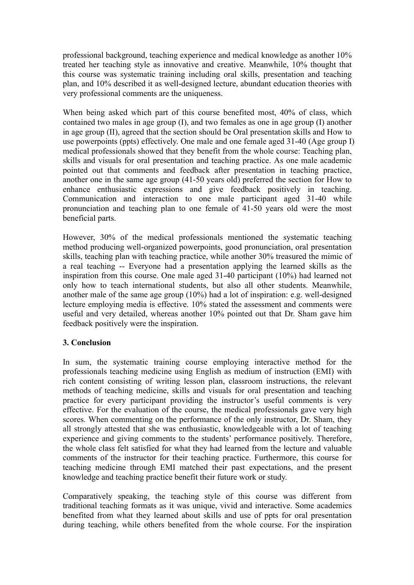professional background, teaching experience and medical knowledge as another 10% treated her teaching style as innovative and creative. Meanwhile, 10% thought that this course was systematic training including oral skills, presentation and teaching plan, and 10% described it as well-designed lecture, abundant education theories with very professional comments are the uniqueness.

When being asked which part of this course benefited most, 40% of class, which contained two males in age group (I), and two females as one in age group (I) another in age group (II), agreed that the section should be Oral presentation skills and How to use powerpoints (ppts) effectively. One male and one female aged 31-40 (Age group I) medical professionals showed that they benefit from the whole course: Teaching plan, skills and visuals for oral presentation and teaching practice. As one male academic pointed out that comments and feedback after presentation in teaching practice, another one in the same age group (41-50 years old) preferred the section for How to enhance enthusiastic expressions and give feedback positively in teaching. Communication and interaction to one male participant aged 31-40 while pronunciation and teaching plan to one female of 41-50 years old were the most beneficial parts.

However, 30% of the medical professionals mentioned the systematic teaching method producing well-organized powerpoints, good pronunciation, oral presentation skills, teaching plan with teaching practice, while another 30% treasured the mimic of a real teaching -- Everyone had a presentation applying the learned skills as the inspiration from this course. One male aged 31-40 participant (10%) had learned not only how to teach international students, but also all other students. Meanwhile, another male of the same age group (10%) had a lot of inspiration: e.g. well-designed lecture employing media is effective. 10% stated the assessment and comments were useful and very detailed, whereas another 10% pointed out that Dr. Sham gave him feedback positively were the inspiration.

## **3. Conclusion**

In sum, the systematic training course employing interactive method for the professionals teaching medicine using English as medium of instruction (EMI) with rich content consisting of writing lesson plan, classroom instructions, the relevant methods of teaching medicine, skills and visuals for oral presentation and teaching practice for every participant providing the instructor's useful comments is very effective. For the evaluation of the course, the medical professionals gave very high scores. When commenting on the performance of the only instructor, Dr. Sham, they all strongly attested that she was enthusiastic, knowledgeable with a lot of teaching experience and giving comments to the students' performance positively. Therefore, the whole class felt satisfied for what they had learned from the lecture and valuable comments of the instructor for their teaching practice. Furthermore, this course for teaching medicine through EMI matched their past expectations, and the present knowledge and teaching practice benefit their future work or study.

Comparatively speaking, the teaching style of this course was different from traditional teaching formats as it was unique, vivid and interactive. Some academics benefited from what they learned about skills and use of ppts for oral presentation during teaching, while others benefited from the whole course. For the inspiration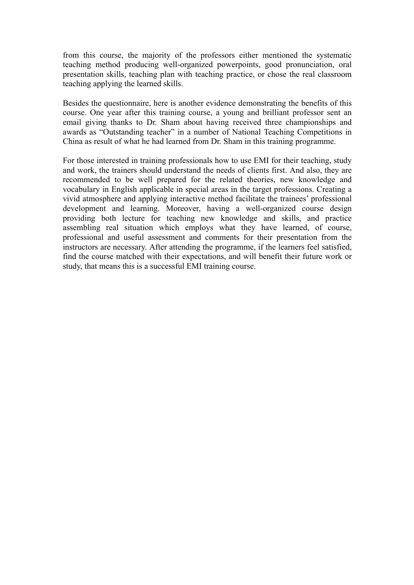from this course, the majority of the professors either mentioned the systematic teaching method producing well-organized powerpoints, good pronunciation, oral presentation skills, teaching plan with teaching practice, or chose the real classroom teaching applying the learned skills.

Besides the questionnaire, here is another evidence demonstrating the benefits of this course. One year after this training course, a young and brilliant professor sent an email giving thanks to Dr. Sham about having received three championships and awards as "Outstanding teacher" in a number of National Teaching Competitions in China as result of what he had learned from Dr. Sham in this training programme.

For those interested in training professionals how to use EMI for their teaching, study and work, the trainers should understand the needs of clients first. And also, they are recommended to be well prepared for the related theories, new knowledge and vocabulary in English applicable in special areas in the target professions. Creating a vivid atmosphere and applying interactive method facilitate the trainees' professional development and learning. Moreover, having a well-organized course design providing both lecture for teaching new knowledge and skills, and practice assembling real situation which employs what they have learned, of course, professional and useful assessment and comments for their presentation from the instructors are necessary. After attending the programme, if the learners feel satisfied, find the course matched with their expectations, and will benefit their future work or study, that means this is a successful EMI training course.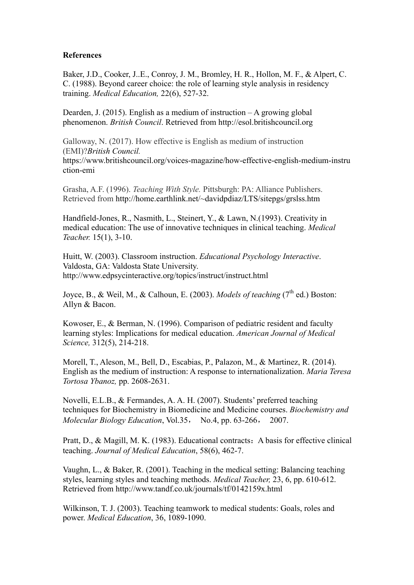#### **References**

Baker, J.D., Cooker, J..E., Conroy, J. M., Bromley, H. R., Hollon, M. F., & Alpert, C. C. (1988). Beyond career choice: the role of learning style analysis in residency training. *Medical Education,* 22(6), 527-32.

Dearden, J. (2015). English as a medium of instruction – A growing global phenomenon. *British Council*. Retrieved from http://esol.britishcouncil.org

Galloway, N. (2017). How effective is English as medium of instruction (EMI)?*British Council.*  https://www.britishcouncil.org/voices-magazine/how-effective-english-medium-instru ction-emi

Grasha, A.F. (1996). *Teaching With Style.* Pittsburgh: PA: Alliance Publishers. Retrieved from http://home.earthlink.net/~davidpdiaz/LTS/sitepgs/grslss.htm

Handfield-Jones, R., Nasmith, L., Steinert, Y., & Lawn, N.(1993). Creativity in medical education: The use of innovative techniques in clinical teaching. *Medical Teacher.* 15(1), 3-10.

Huitt, W. (2003). Classroom instruction. *Educational Psychology Interactive*. Valdosta, GA: Valdosta State University. http://www.edpsycinteractive.org/topics/instruct/instruct.html

Joyce, B., & Weil, M., & Calhoun, E. (2003). *Models of teaching* (7<sup>th</sup> ed.) Boston: Allyn & Bacon.

Kowoser, E., & Berman, N. (1996). Comparison of pediatric resident and faculty learning styles: Implications for medical education. *American Journal of Medical Science,* 312(5), 214-218.

Morell, T., Aleson, M., Bell, D., Escabias, P., Palazon, M., & Martinez, R. (2014). English as the medium of instruction: A response to internationalization. *Maria Teresa Tortosa Ybanoz,* pp. 2608-2631.

Novelli, E.L.B., & Fermandes, A. A. H. (2007). Students' preferred teaching techniques for Biochemistry in Biomedicine and Medicine courses. *Biochemistry and Molecular Biology Education*, Vol.35, No.4, pp. 63-266, 2007.

Pratt, D., & Magill, M. K. (1983). Educational contracts: A basis for effective clinical teaching. *Journal of Medical Education*, 58(6), 462-7.

Vaughn, L., & Baker, R. (2001). Teaching in the medical setting: Balancing teaching styles, learning styles and teaching methods. *Medical Teacher,* 23, 6, pp. 610-612. Retrieved from http://www.tandf.co.uk/journals/tf/0142159x.html

Wilkinson, T. J. (2003). Teaching teamwork to medical students: Goals, roles and power. *Medical Education*, 36, 1089-1090.